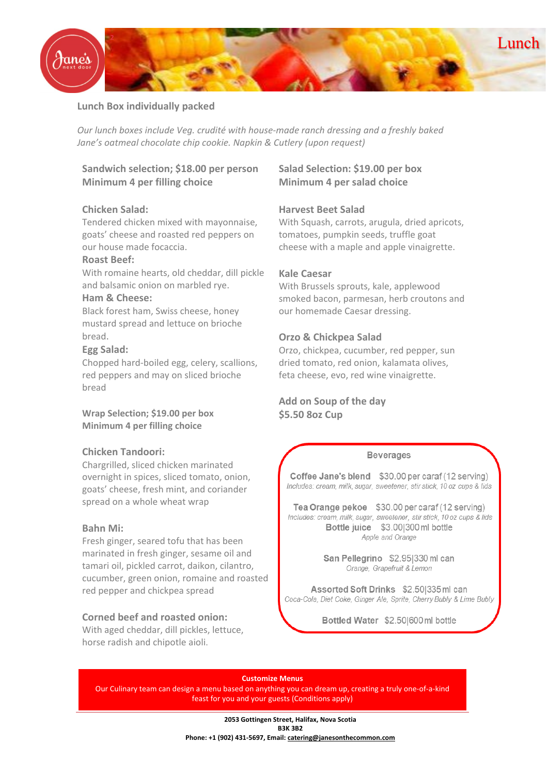

## **Lunch Box individually packed**

*Our lunch boxes include Veg. crudité with house-made ranch dressing and a freshly baked Jane's oatmeal chocolate chip cookie. Napkin & Cutlery (upon request)*

**Sandwich selection; \$18.00 per person Minimum 4 per filling choice**

## **Chicken Salad:**

Tendered chicken mixed with mayonnaise, goats' cheese and roasted red peppers on our house made focaccia.

## **Roast Beef:**

With romaine hearts, old cheddar, dill pickle and balsamic onion on marbled rye.

### **Ham & Cheese:**

Black forest ham, Swiss cheese, honey mustard spread and lettuce on brioche bread.

## **Egg Salad:**

Chopped hard-boiled egg, celery, scallions, red peppers and may on sliced brioche bread

**Wrap Selection; \$19.00 per box Minimum 4 per filling choice**

#### **Chicken Tandoori:**

Chargrilled, sliced chicken marinated overnight in spices, sliced tomato, onion, goats' cheese, fresh mint, and coriander spread on a whole wheat wrap

## **Bahn Mi:**

Fresh ginger, seared tofu that has been marinated in fresh ginger, sesame oil and tamari oil, pickled carrot, daikon, cilantro, cucumber, green onion, romaine and roasted red pepper and chickpea spread

### **Corned beef and roasted onion:**

With aged cheddar, dill pickles, lettuce, horse radish and chipotle aioli.

# **Salad Selection: \$19.00 per box Minimum 4 per salad choice**

### **Harvest Beet Salad**

With Squash, carrots, arugula, dried apricots, tomatoes, pumpkin seeds, truffle goat cheese with a maple and apple vinaigrette.

#### **Kale Caesar**

With Brussels sprouts, kale, applewood smoked bacon, parmesan, herb croutons and our homemade Caesar dressing.

#### **Orzo & Chickpea Salad**

Orzo, chickpea, cucumber, red pepper, sun dried tomato, red onion, kalamata olives, feta cheese, evo, red wine vinaigrette.

**Add on Soup of the day \$5.50 8oz Cup** 

#### **Beverages**

Coffee Jane's blend \$30.00 per caraf (12 serving) Includes: cream, milk, sugar, sweetener, stir stick, 10 oz cups & lids

Tea Orange pekoe \$30.00 per caraf (12 serving) Includes: cream, milk, sugar, sweetener, stir stick, 10 oz cups & lids Bottle juice \$3,001300 ml bottle Apple and Orange

> San Pellegrino \$2.951330 ml can Orange, Grapefruit & Lemon

Assorted Soft Drinks \$2,501335 ml can Coca-Cola, Diet Coke, Ginger Ale, Sprite, Cherry Bubly & Lime Bubly

Bottled Water \$2.50|600 ml bottle

**Customize Menus** Our Culinary team can design a menu based on anything you can dream up, creating a truly one-of-a-kind feast for you and your guests (Conditions apply)

> **2053 Gottingen Street, Halifax, Nova Scotia B3K 3B2 Phone: +1 (902) 431-5697, Email: [catering@janesonthecommon.com](mailto:catering@janesonthecommon.com)**